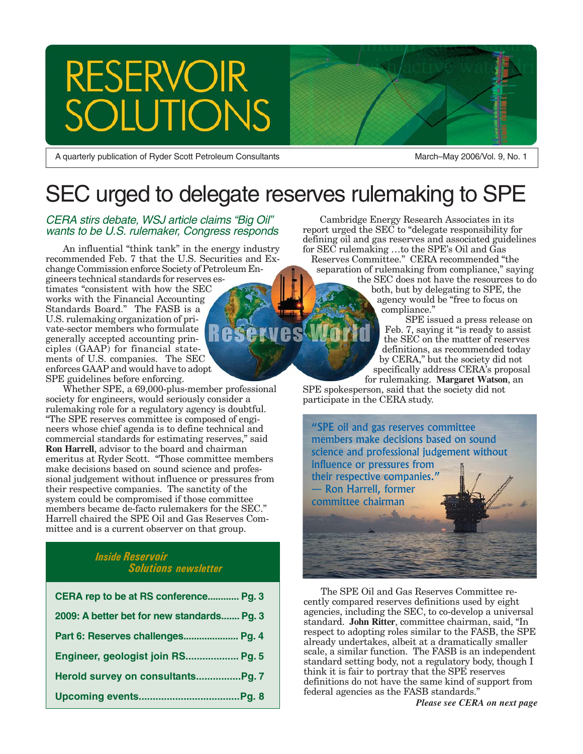# **RESERVOIR TONS**

A quarterly publication of Ryder Scott Petroleum Consultants

March–May 2006/Vol. 9, No. 1

# SEC urged to delegate reserves rulemaking to SPE

CERA stirs debate, WSJ article claims "Big Oil" wants to be U.S. rulemaker, Congress responds

An influential "think tank" in the energy industry recommended Feb. 7 that the U.S. Securities and Exchange Commission enforce Society of Petroleum En-

gineers technical standards for reserves estimates "consistent with how the SEC works with the Financial Accounting Standards Board." The FASB is a U.S. rulemaking organization of private-sector members who formulate **Reserves** generally accepted accounting principles (GAAP) for financial statements of U.S. companies. The SEC enforces GAAP and would have to adopt SPE guidelines before enforcing.

Whether SPE, a 69,000-plus-member professional society for engineers, would seriously consider a rulemaking role for a regulatory agency is doubtful. "The SPE reserves committee is composed of engineers whose chief agenda is to define technical and commercial standards for estimating reserves," said **Ron Harrell**, advisor to the board and chairman emeritus at Ryder Scott. "Those committee members make decisions based on sound science and professional judgement without influence or pressures from their respective companies. The sanctity of the system could be compromised if those committee members became de-facto rulemakers for the SEC." Harrell chaired the SPE Oil and Gas Reserves Committee and is a current observer on that group.

#### *Inside Reservoir Solutions newsletter*

| CERA rep to be at RS conference Pg. 3      |
|--------------------------------------------|
| 2009: A better bet for new standards Pg. 3 |
| Part 6: Reserves challenges Pg. 4          |
| Engineer, geologist join RS Pg. 5          |
|                                            |
|                                            |

Cambridge Energy Research Associates in its report urged the SEC to "delegate responsibility for defining oil and gas reserves and associated guidelines for SEC rulemaking …to the SPE's Oil and Gas

Reserves Committee." CERA recommended "the separation of rulemaking from compliance," saying

the SEC does not have the resources to do both, but by delegating to SPE, the agency would be "free to focus on compliance."

SPE issued a press release on Feb. 7, saying it "is ready to assist the SEC on the matter of reserves definitions, as recommended today by CERA," but the society did not specifically address CERA's proposal

for rulemaking. **Margaret Watson**, an SPE spokesperson, said that the society did not participate in the CERA study.



The SPE Oil and Gas Reserves Committee recently compared reserves definitions used by eight agencies, including the SEC, to co-develop a universal standard. **John Ritter**, committee chairman, said, "In respect to adopting roles similar to the FASB, the SPE already undertakes, albeit at a dramatically smaller scale, a similar function. The FASB is an independent standard setting body, not a regulatory body, though I think it is fair to portray that the SPE reserves definitions do not have the same kind of support from federal agencies as the FASB standards."

*Please see CERA on next page*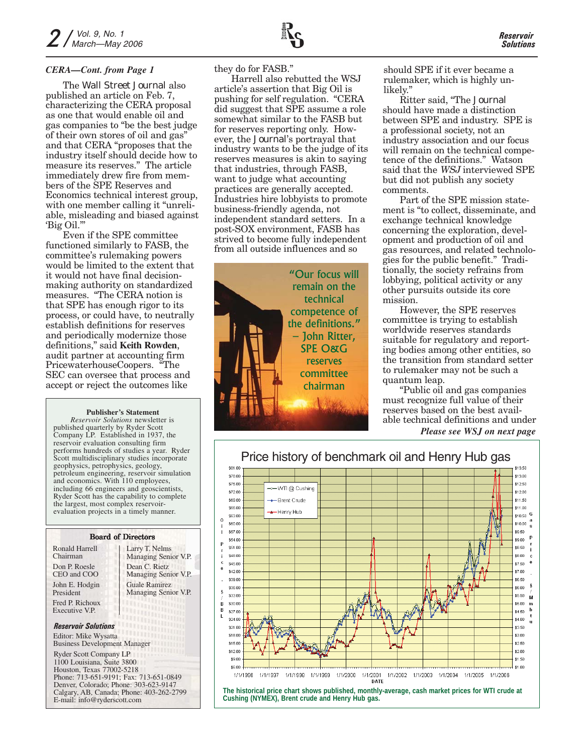The *Wall Street Journal* also published an article on Feb. 7, characterizing the CERA proposal as one that would enable oil and gas companies to "be the best judge of their own stores of oil and gas" and that CERA "proposes that the industry itself should decide how to measure its reserves." The article immediately drew fire from members of the SPE Reserves and Economics technical interest group, with one member calling it "unreliable, misleading and biased against 'Big Oil.'"

Even if the SPE committee functioned similarly to FASB, the committee's rulemaking powers would be limited to the extent that it would not have final decisionmaking authority on standardized measures. "The CERA notion is that SPE has enough rigor to its process, or could have, to neutrally establish definitions for reserves and periodically modernize those definitions," said **Keith Rowden**, audit partner at accounting firm PricewaterhouseCoopers. "The SEC can oversee that process and accept or reject the outcomes like

#### **Publisher's Statement**

*Reservoir Solutions* newsletter is published quarterly by Ryder Scott Company LP. Established in 1937, the reservoir evaluation consulting firm performs hundreds of studies a year. Ryder Scott multidisciplinary studies incorporate geophysics, petrophysics, geology, petroleum engineering, reservoir simulation and economics. With 110 employees, including 66 engineers and geoscientists, Ryder Scott has the capability to complete the largest, most complex reservoirevaluation projects in a timely manner.

#### Board of Directors

| <b>Ronald Harrell</b>      | Larry T. Nelms                             |
|----------------------------|--------------------------------------------|
| Chairman                   | Managing Senior V.P.                       |
| Don P. Roesle              | Dean C. Rietz                              |
| CEO and COO                | Managing Senior V.P.                       |
| John E. Hodgin             | <b>Guale Ramirez</b>                       |
| President                  | Managing Senior V.P.                       |
| Fred P. Richoux            | <b>MARTHOLDER</b>                          |
| Executive V.P.             | ATTO O O O O O O O O O                     |
| <b>Reservoir Solutions</b> | <b>TELEFORMATION</b><br><b>RANGALITANI</b> |
| Editor: Mike Wysatta       | <b>UTHOLIGAN</b>                           |

Business Development Manager

Ryder Scott Company LP 1100 Louisiana, Suite 3800 Houston, Texas 77002-5218 Phone: 713-651-9191; Fax: 713-651-0849 Denver, Colorado; Phone: 303-623-9147 Calgary, AB, Canada; Phone: 403-262-2799 E-mail: info@ryderscott.com

they do for FASB."

Harrell also rebutted the WSJ article's assertion that Big Oil is pushing for self regulation. "CERA did suggest that SPE assume a role somewhat similar to the FASB but for reserves reporting only. However, the *Journal*'s portrayal that industry wants to be the judge of its reserves measures is akin to saying that industries, through FASB, want to judge what accounting practices are generally accepted. Industries hire lobbyists to promote business-friendly agenda, not independent standard setters. In a post-SOX environment, FASB has strived to become fully independent from all outside influences and so



*CERA—Cont. from Page 1* bey do for FASB." should SPE if it ever became a rulemaker, which is highly unlikely."

> Ritter said, "The *Journal* should have made a distinction between SPE and industry. SPE is a professional society, not an industry association and our focus will remain on the technical competence of the definitions." Watson said that the WSJ interviewed SPE but did not publish any society comments.

Part of the SPE mission statement is "to collect, disseminate, and exchange technical knowledge concerning the exploration, development and production of oil and gas resources, and related technologies for the public benefit." Traditionally, the society refrains from lobbying, political activity or any other pursuits outside its core mission.

However, the SPE reserves committee is trying to establish worldwide reserves standards suitable for regulatory and reporting bodies among other entities, so the transition from standard setter to rulemaker may not be such a quantum leap.

"Public oil and gas companies must recognize full value of their reserves based on the best available technical definitions and under *Please see WSJ on next page*



*Reservoir Solutions*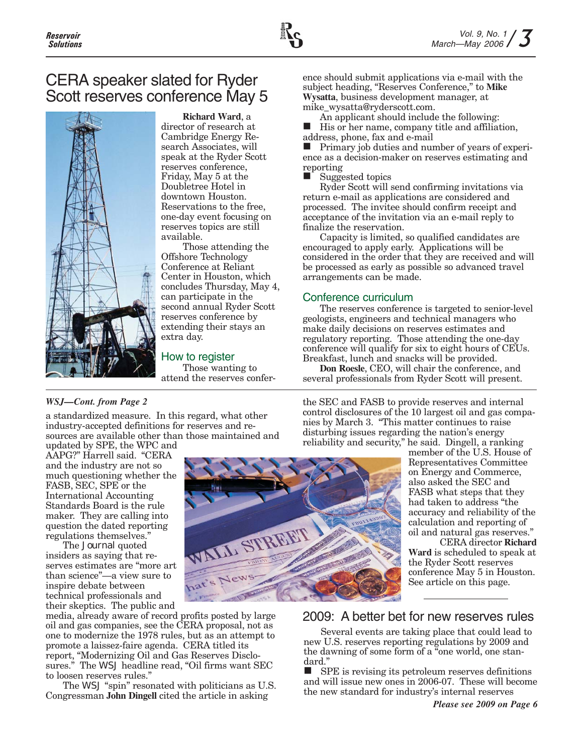

### CERA speaker slated for Ryder Scott reserves conference May 5



**Richard Ward**, a director of research at Cambridge Energy Research Associates, will speak at the Ryder Scott reserves conference, Friday, May 5 at the Doubletree Hotel in downtown Houston. Reservations to the free, one-day event focusing on reserves topics are still available.

Those attending the Offshore Technology Conference at Reliant Center in Houston, which concludes Thursday, May 4, can participate in the second annual Ryder Scott reserves conference by extending their stays an extra day.

#### How to register

Those wanting to attend the reserves conference should submit applications via e-mail with the subject heading, "Reserves Conference," to **Mike Wysatta**, business development manager, at mike\_wysatta@ryderscott.com.

An applicant should include the following:

 His or her name, company title and affiliation, address, phone, fax and e-mail

 $\blacksquare$  Primary job duties and number of years of experience as a decision-maker on reserves estimating and reporting

Suggested topics

Ryder Scott will send confirming invitations via return e-mail as applications are considered and processed. The invitee should confirm receipt and acceptance of the invitation via an e-mail reply to finalize the reservation.

Capacity is limited, so qualified candidates are encouraged to apply early. Applications will be considered in the order that they are received and will be processed as early as possible so advanced travel arrangements can be made.

#### Conference curriculum

The reserves conference is targeted to senior-level geologists, engineers and technical managers who make daily decisions on reserves estimates and regulatory reporting. Those attending the one-day conference will qualify for six to eight hours of CEUs. Breakfast, lunch and snacks will be provided.

**Don Roesle**, CEO, will chair the conference, and several professionals from Ryder Scott will present.

the SEC and FASB to provide reserves and internal control disclosures of the 10 largest oil and gas companies by March 3. "This matter continues to raise disturbing issues regarding the nation's energy

#### *WSJ—Cont. from Page 2*

a standardized measure. In this regard, what other industry-accepted definitions for reserves and resources are available other than those maintained and updated by SPE, the WPC and

AAPG?" Harrell said. "CERA and the industry are not so much questioning whether the FASB, SEC, SPE or the International Accounting Standards Board is the rule maker. They are calling into question the dated reporting regulations themselves."

The *Journal* quoted insiders as saying that reserves estimates are "more art than science"—a view sure to inspire debate between technical professionals and their skeptics. The public and

media, already aware of record profits posted by large oil and gas companies, see the CERA proposal, not as one to modernize the 1978 rules, but as an attempt to promote a laissez-faire agenda. CERA titled its report, "Modernizing Oil and Gas Reserves Disclosures." The *WSJ* headline read, "Oil firms want SEC to loosen reserves rules."

The *WSJ* "spin" resonated with politicians as U.S. Congressman **John Dingell** cited the article in asking



reliability and security," he said. Dingell, a ranking member of the U.S. House of Representatives Committee on Energy and Commerce, also asked the SEC and FASB what steps that they had taken to address "the accuracy and reliability of the calculation and reporting of

> oil and natural gas reserves." CERA director **Richard Ward** is scheduled to speak at the Ryder Scott reserves conference May 5 in Houston. See article on this page.

### 2009: A better bet for new reserves rules

Several events are taking place that could lead to new U.S. reserves reporting regulations by 2009 and the dawning of some form of a "one world, one standard."

 SPE is revising its petroleum reserves definitions and will issue new ones in 2006-07. These will become the new standard for industry's internal reserves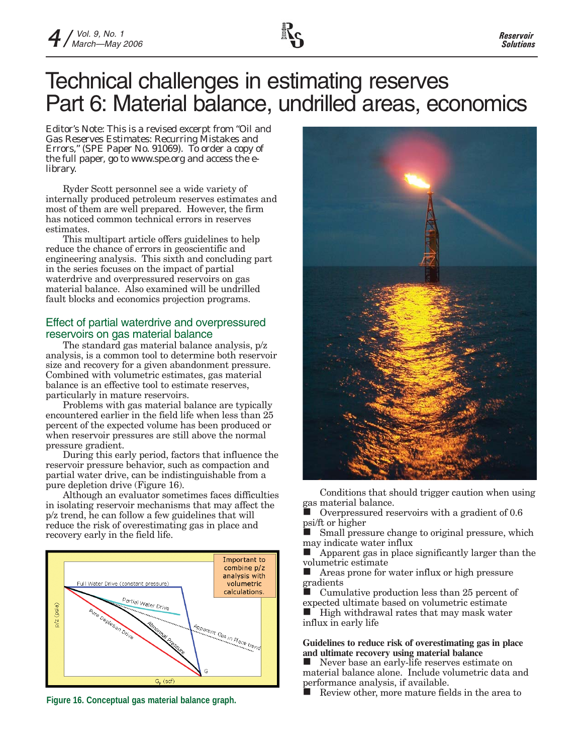# Technical challenges in estimating reserves Part 6: Material balance, undrilled areas, economics

*Editor's Note: This is a revised excerpt from "Oil and Gas Reserves Estimates: Recurring Mistakes and Errors," (SPE Paper No. 91069). To order a copy of the full paper, go to www.spe.org and access the elibrary.*

Ryder Scott personnel see a wide variety of internally produced petroleum reserves estimates and most of them are well prepared. However, the firm has noticed common technical errors in reserves estimates.

This multipart article offers guidelines to help reduce the chance of errors in geoscientific and engineering analysis. This sixth and concluding part in the series focuses on the impact of partial waterdrive and overpressured reservoirs on gas material balance. Also examined will be undrilled fault blocks and economics projection programs.

#### Effect of partial waterdrive and overpressured reservoirs on gas material balance

The standard gas material balance analysis, p/z analysis, is a common tool to determine both reservoir size and recovery for a given abandonment pressure. Combined with volumetric estimates, gas material balance is an effective tool to estimate reserves, particularly in mature reservoirs.

Problems with gas material balance are typically encountered earlier in the field life when less than 25 percent of the expected volume has been produced or when reservoir pressures are still above the normal pressure gradient.

During this early period, factors that influence the reservoir pressure behavior, such as compaction and partial water drive, can be indistinguishable from a pure depletion drive (Figure 16).

Although an evaluator sometimes faces difficulties in isolating reservoir mechanisms that may affect the p/z trend, he can follow a few guidelines that will reduce the risk of overestimating gas in place and recovery early in the field life.





Conditions that should trigger caution when using gas material balance.

 Overpressured reservoirs with a gradient of 0.6 psi/ft or higher

 Small pressure change to original pressure, which may indicate water influx

**Apparent gas in place significantly larger than the** volumetric estimate<br>Areas prone for

 Areas prone for water influx or high pressure gradients

 Cumulative production less than 25 percent of expected ultimate based on volumetric estimate  $\blacksquare$  High withdrawal rates that may mask water influx in early life

#### **Guidelines to reduce risk of overestimating gas in place and ultimate recovery using material balance**

Never base an early-life reserves estimate on material balance alone. Include volumetric data and performance analysis, if available.

Review other, more mature fields in the area to **Figure 16. Conceptual gas material balance graph.**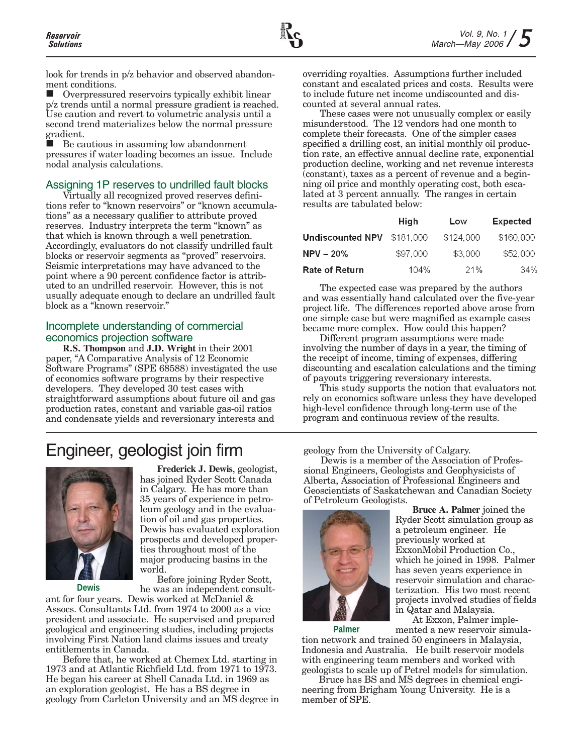look for trends in  $p/z$  behavior and observed abandonment conditions.

 Overpressured reservoirs typically exhibit linear p/z trends until a normal pressure gradient is reached. Use caution and revert to volumetric analysis until a second trend materializes below the normal pressure gradient.

 Be cautious in assuming low abandonment pressures if water loading becomes an issue. Include nodal analysis calculations.

### Assigning 1P reserves to undrilled fault blocks

Virtually all recognized proved reserves definitions refer to "known reservoirs" or "known accumulations" as a necessary qualifier to attribute proved reserves. Industry interprets the term "known" as that which is known through a well penetration. Accordingly, evaluators do not classify undrilled fault blocks or reservoir segments as "proved" reservoirs. Seismic interpretations may have advanced to the point where a 90 percent confidence factor is attributed to an undrilled reservoir. However, this is not usually adequate enough to declare an undrilled fault block as a "known reservoir."

#### Incomplete understanding of commercial economics projection software

**R.S. Thompson** and **J.D. Wright** in their 2001 paper, "A Comparative Analysis of 12 Economic Software Programs" (SPE 68588) investigated the use of economics software programs by their respective developers. They developed 30 test cases with straightforward assumptions about future oil and gas production rates, constant and variable gas-oil ratios and condensate yields and reversionary interests and

## Engineer, geologist join firm



**Dewis**

**Frederick J. Dewis**, geologist, has joined Ryder Scott Canada in Calgary. He has more than 35 years of experience in petroleum geology and in the evaluation of oil and gas properties. Dewis has evaluated exploration prospects and developed properties throughout most of the major producing basins in the world.

Before joining Ryder Scott, he was an independent consult-

ant for four years. Dewis worked at McDaniel & Assocs. Consultants Ltd. from 1974 to 2000 as a vice president and associate. He supervised and prepared geological and engineering studies, including projects involving First Nation land claims issues and treaty entitlements in Canada.

Before that, he worked at Chemex Ltd. starting in 1973 and at Atlantic Richfield Ltd. from 1971 to 1973. He began his career at Shell Canada Ltd. in 1969 as an exploration geologist. He has a BS degree in geology from Carleton University and an MS degree in overriding royalties. Assumptions further included constant and escalated prices and costs. Results were to include future net income undiscounted and discounted at several annual rates.

These cases were not unusually complex or easily misunderstood. The 12 vendors had one month to complete their forecasts. One of the simpler cases specified a drilling cost, an initial monthly oil production rate, an effective annual decline rate, exponential production decline, working and net revenue interests (constant), taxes as a percent of revenue and a beginning oil price and monthly operating cost, both escalated at 3 percent annually. The ranges in certain results are tabulated below:

|                                                       | High     | Low       | <b>Expected</b> |
|-------------------------------------------------------|----------|-----------|-----------------|
| <code>Undiscounted NPV <math>\\$181.000</math></code> |          | \$124,000 | \$160,000       |
| NPV – 20%                                             | \$97,000 | \$3,000   | \$52,000        |
| Rate of Return                                        | 104%     | 21%       | 34%             |

The expected case was prepared by the authors and was essentially hand calculated over the five-year project life. The differences reported above arose from one simple case but were magnified as example cases became more complex. How could this happen?

Different program assumptions were made involving the number of days in a year, the timing of the receipt of income, timing of expenses, differing discounting and escalation calculations and the timing of payouts triggering reversionary interests.

This study supports the notion that evaluators not rely on economics software unless they have developed high-level confidence through long-term use of the program and continuous review of the results.

geology from the University of Calgary.

Dewis is a member of the Association of Professional Engineers, Geologists and Geophysicists of Alberta, Association of Professional Engineers and Geoscientists of Saskatchewan and Canadian Society of Petroleum Geologists.



**Bruce A. Palmer** joined the Ryder Scott simulation group as a petroleum engineer. He previously worked at ExxonMobil Production Co., which he joined in 1998. Palmer has seven years experience in reservoir simulation and characterization. His two most recent projects involved studies of fields in Qatar and Malaysia.

At Exxon, Palmer implemented a new reservoir simula-

tion network and trained 50 engineers in Malaysia, Indonesia and Australia. He built reservoir models with engineering team members and worked with geologists to scale up of Petrel models for simulation. **Palmer**

Bruce has BS and MS degrees in chemical engineering from Brigham Young University. He is a member of SPE.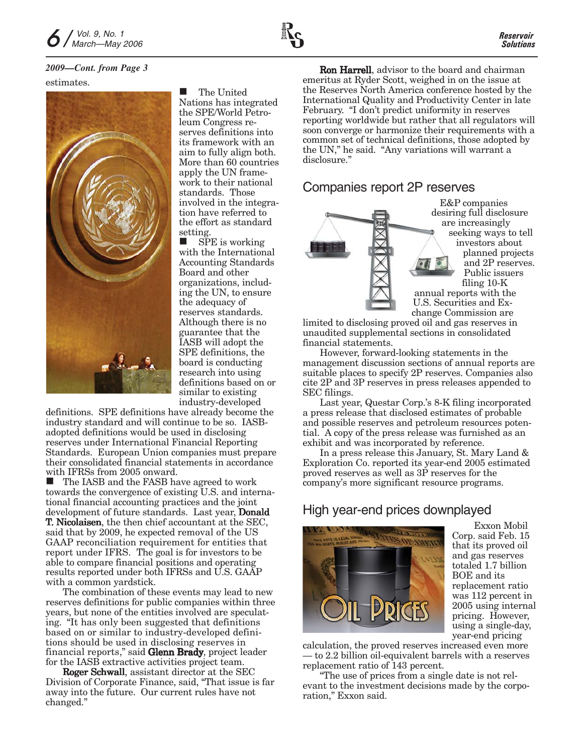# estimates.



 The United Nations has integrated the SPE/World Petroleum Congress reserves definitions into its framework with an aim to fully align both. More than 60 countries apply the UN framework to their national standards. Those involved in the integration have referred to the effort as standard setting.

 SPE is working with the International Accounting Standards Board and other organizations, including the UN, to ensure the adequacy of reserves standards. Although there is no guarantee that the IASB will adopt the SPE definitions, the board is conducting research into using definitions based on or similar to existing industry-developed

definitions. SPE definitions have already become the industry standard and will continue to be so. IASBadopted definitions would be used in disclosing reserves under International Financial Reporting Standards. European Union companies must prepare their consolidated financial statements in accordance with IFRSs from 2005 onward.

■ The IASB and the FASB have agreed to work towards the convergence of existing U.S. and international financial accounting practices and the joint development of future standards. Last year, Donald T. Nicolaisen, the then chief accountant at the SEC, said that by 2009, he expected removal of the US GAAP reconciliation requirement for entities that report under IFRS. The goal is for investors to be able to compare financial positions and operating results reported under both IFRSs and U.S. GAAP with a common yardstick.

The combination of these events may lead to new reserves definitions for public companies within three years, but none of the entities involved are speculating. "It has only been suggested that definitions based on or similar to industry-developed definitions should be used in disclosing reserves in financial reports," said Glenn Brady, project leader for the IASB extractive activities project team.

Roger Schwall, assistant director at the SEC Division of Corporate Finance, said, "That issue is far away into the future. Our current rules have not changed."

*2009—Cont. from Page 3* Ron Harrell, advisor to the board and chairman emeritus at Ryder Scott, weighed in on the issue at the Reserves North America conference hosted by the International Quality and Productivity Center in late February. "I don't predict uniformity in reserves reporting worldwide but rather that all regulators will soon converge or harmonize their requirements with a common set of technical definitions, those adopted by the UN," he said. "Any variations will warrant a disclosure."

### Companies report 2P reserves



E&P companies desiring full disclosure are increasingly seeking ways to tell investors about planned projects and 2P reserves. Public issuers filing 10-K annual reports with the U.S. Securities and Ex-

change Commission are limited to disclosing proved oil and gas reserves in unaudited supplemental sections in consolidated financial statements.

However, forward-looking statements in the management discussion sections of annual reports are suitable places to specify 2P reserves. Companies also cite 2P and 3P reserves in press releases appended to SEC filings.

Last year, Questar Corp.'s 8-K filing incorporated a press release that disclosed estimates of probable and possible reserves and petroleum resources potential. A copy of the press release was furnished as an exhibit and was incorporated by reference.

In a press release this January, St. Mary Land & Exploration Co. reported its year-end 2005 estimated proved reserves as well as 3P reserves for the company's more significant resource programs.

### High year-end prices downplayed



Exxon Mobil Corp. said Feb. 15 that its proved oil and gas reserves totaled 1.7 billion BOE and its replacement ratio was 112 percent in 2005 using internal pricing. However, using a single-day, year-end pricing

calculation, the proved reserves increased even more — to 2.2 billion oil-equivalent barrels with a reserves replacement ratio of 143 percent.

"The use of prices from a single date is not relevant to the investment decisions made by the corporation," Exxon said.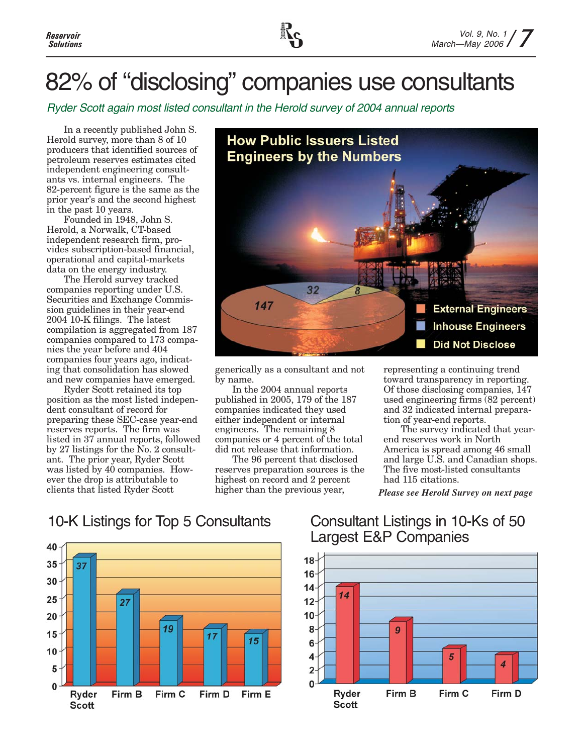# 82% of "disclosing" companies use consultants

Ryder Scott again most listed consultant in the Herold survey of 2004 annual reports

In a recently published John S. Herold survey, more than 8 of 10 producers that identified sources of petroleum reserves estimates cited independent engineering consultants vs. internal engineers. The 82-percent figure is the same as the prior year's and the second highest in the past 10 years.

Founded in 1948, John S. Herold, a Norwalk, CT-based independent research firm, provides subscription-based financial, operational and capital-markets data on the energy industry.

The Herold survey tracked companies reporting under U.S. Securities and Exchange Commission guidelines in their year-end 2004 10-K filings. The latest compilation is aggregated from 187 companies compared to 173 companies the year before and 404 companies four years ago, indicating that consolidation has slowed and new companies have emerged.

Ryder Scott retained its top position as the most listed independent consultant of record for preparing these SEC-case year-end reserves reports. The firm was listed in 37 annual reports, followed by 27 listings for the No. 2 consultant. The prior year, Ryder Scott was listed by 40 companies. However the drop is attributable to clients that listed Ryder Scott



generically as a consultant and not by name.

In the 2004 annual reports published in 2005, 179 of the 187 companies indicated they used either independent or internal engineers. The remaining 8 companies or 4 percent of the total did not release that information.

The 96 percent that disclosed reserves preparation sources is the highest on record and 2 percent higher than the previous year,

representing a continuing trend toward transparency in reporting. Of those disclosing companies, 147 used engineering firms (82 percent) and 32 indicated internal preparation of year-end reports.

The survey indicated that yearend reserves work in North America is spread among 46 small and large U.S. and Canadian shops. The five most-listed consultants had 115 citations.

*Please see Herold Survey on next page*

## 10-K Listings for Top 5 Consultants Consultant Listings in 10-Ks of 50



# Largest E&P Companies